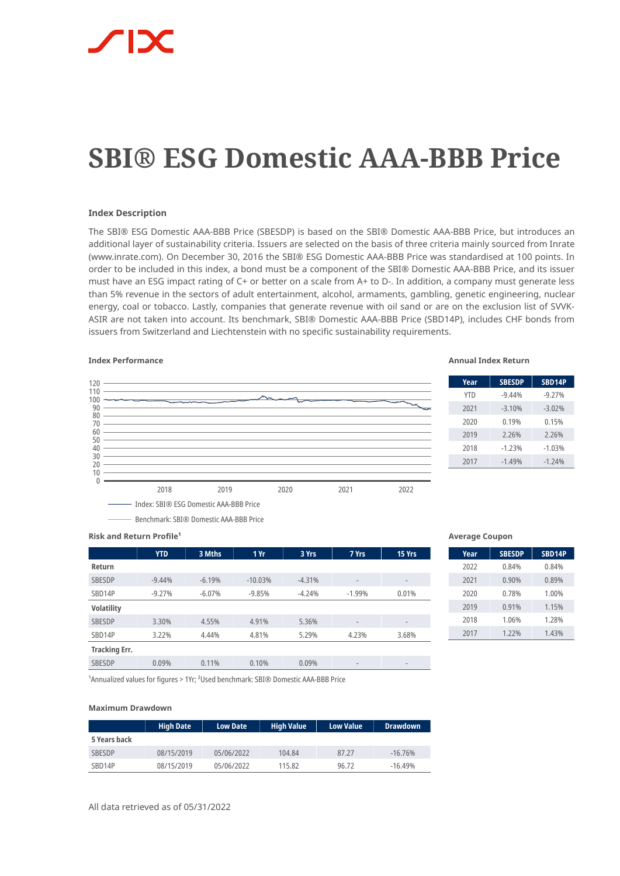# **SBI® ESG Domestic AAA-BBB Price**

### **Index Description**

The SBI® ESG Domestic AAA-BBB Price (SBESDP) is based on the SBI® Domestic AAA-BBB Price, but introduces an additional layer of sustainability criteria. Issuers are selected on the basis of three criteria mainly sourced from Inrate (www.inrate.com). On December 30, 2016 the SBI® ESG Domestic AAA-BBB Price was standardised at 100 points. In order to be included in this index, a bond must be a component of the SBI® Domestic AAA-BBB Price, and its issuer must have an ESG impact rating of C+ or better on a scale from A+ to D-. In addition, a company must generate less than 5% revenue in the sectors of adult entertainment, alcohol, armaments, gambling, genetic engineering, nuclear energy, coal or tobacco. Lastly, companies that generate revenue with oil sand or are on the exclusion list of SVVK-ASIR are not taken into account. Its benchmark, SBI® Domestic AAA-BBB Price (SBD14P), includes CHF bonds from issuers from Switzerland and Liechtenstein with no specific sustainability requirements.



### **Index Performance Annual Index Return**

| Year       | <b>SBESDP</b> | SBD14P   |
|------------|---------------|----------|
| <b>YTD</b> | $-9.44%$      | $-9.27%$ |
| 2021       | $-3.10%$      | $-3.02%$ |
| 2020       | 0.19%         | 0.15%    |
| 2019       | 2.26%         | 2.26%    |
| 2018       | $-1.23%$      | $-1.03%$ |
| 2017       | $-1.49%$      | $-1.24%$ |

**Risk and Return Profile<sup>1</sup>** 

|                      | <b>YTD</b> | 3 Mths   | 1 Yr      | 3 Yrs    | 7 Yrs                    | 15 Yrs                   |
|----------------------|------------|----------|-----------|----------|--------------------------|--------------------------|
| Return               |            |          |           |          |                          |                          |
| <b>SBESDP</b>        | $-9.44%$   | $-6.19%$ | $-10.03%$ | $-4.31%$ | $\overline{\phantom{a}}$ | $\overline{\phantom{a}}$ |
| SBD14P               | $-9.27%$   | $-6.07%$ | $-9.85%$  | $-4.24%$ | $-1.99%$                 | 0.01%                    |
| <b>Volatility</b>    |            |          |           |          |                          |                          |
| <b>SBESDP</b>        | 3.30%      | 4.55%    | 4.91%     | 5.36%    | $\overline{\phantom{m}}$ | $\qquad \qquad$          |
| SBD14P               | 3.22%      | 4.44%    | 4.81%     | 5.29%    | 4.23%                    | 3.68%                    |
| <b>Tracking Err.</b> |            |          |           |          |                          |                          |
| <b>SBESDP</b>        | 0.09%      | 0.11%    | 0.10%     | 0.09%    | $\overline{\phantom{m}}$ | $\qquad \qquad$          |

### **Average Coupon**

| Year | <b>SBESDP</b> | SBD14P |
|------|---------------|--------|
| 2022 | 0.84%         | 0.84%  |
| 2021 | 0.90%         | 0.89%  |
| 2020 | 0.78%         | 1.00%  |
| 2019 | 0.91%         | 1.15%  |
| 2018 | 1.06%         | 1.28%  |
| 2017 | 1.22%         | 1.43%  |

<sup>1</sup>Annualized values for figures > 1Yr; <sup>2</sup>Used benchmark: SBI® Domestic AAA-BBB Price

### **Maximum Drawdown**

|               | <b>High Date</b> | <b>Low Date</b> | <b>High Value</b> | <b>Low Value</b> | <b>Drawdown</b> |
|---------------|------------------|-----------------|-------------------|------------------|-----------------|
| 5 Years back  |                  |                 |                   |                  |                 |
| <b>SBESDP</b> | 08/15/2019       | 05/06/2022      | 104.84            | 87.27            | $-16.76%$       |
| SBD14P        | 08/15/2019       | 05/06/2022      | 115.82            | 96.72            | $-16.49%$       |

All data retrieved as of 05/31/2022